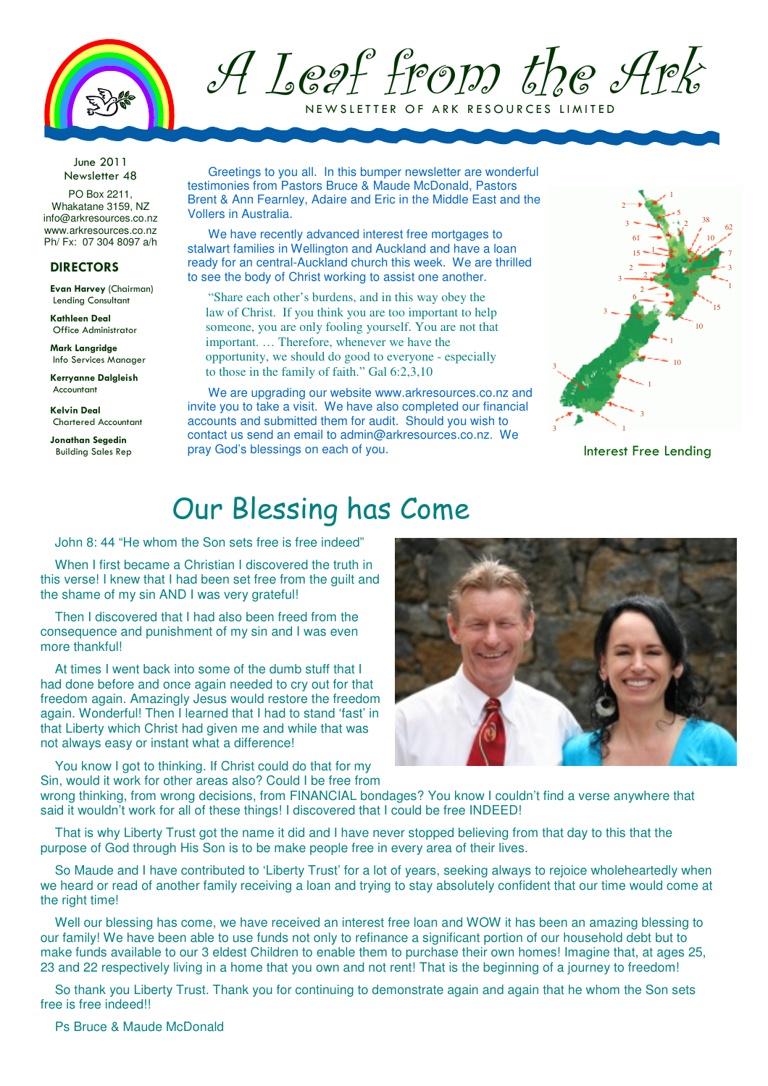

A Leaf from the Ark

NEW SLETTER OF ARK RESOURCES LIMITED

June 2011 Newsletter 48

PO Box 2211, Whakatane 3159, NZ info@arkresources.co.nz www.arkresources.co.nz Ph/ Fx: 07 304 8097 a/h

#### DIRECTORS

Evan Harvey (Chairman) Lending Consultant

Kathleen Deal Office Administrator

Mark Langridge Info Services Manager

Kerryanne Dalgleish Accountant

Kelvin Deal Chartered Accountant

Jonathan Segedin Building Sales Rep

Greetings to you all. In this bumper newsletter are wonderful testimonies from Pastors Bruce & Maude McDonald, Pastors Brent & Ann Fearnley, Adaire and Eric in the Middle East and the Vollers in Australia.

We have recently advanced interest free mortgages to stalwart families in Wellington and Auckland and have a loan ready for an central-Auckland church this week. We are thrilled to see the body of Christ working to assist one another.

"Share each other's burdens, and in this way obey the law of Christ. If you think you are too important to help someone, you are only fooling yourself. You are not that important. … Therefore, whenever we have the opportunity, we should do good to everyone - especially to those in the family of faith." Gal 6:2,3,10

We are upgrading our website www.arkresources.co.nz and invite you to take a visit. We have also completed our financial accounts and submitted them for audit. Should you wish to contact us send an email to admin@arkresources.co.nz. We pray God's blessings on each of you.



Interest Free Lending

### Our Blessing has Come

John 8: 44 "He whom the Son sets free is free indeed"

When I first became a Christian I discovered the truth in this verse! I knew that I had been set free from the guilt and the shame of my sin AND I was very grateful!

Then I discovered that I had also been freed from the consequence and punishment of my sin and I was even more thankful!

At times I went back into some of the dumb stuff that I had done before and once again needed to cry out for that freedom again. Amazingly Jesus would restore the freedom again. Wonderful! Then I learned that I had to stand 'fast' in that Liberty which Christ had given me and while that was not always easy or instant what a difference!

You know I got to thinking. If Christ could do that for my Sin, would it work for other areas also? Could I be free from



wrong thinking, from wrong decisions, from FINANCIAL bondages? You know I couldn't find a verse anywhere that said it wouldn't work for all of these things! I discovered that I could be free INDEED!

That is why Liberty Trust got the name it did and I have never stopped believing from that day to this that the purpose of God through His Son is to be make people free in every area of their lives.

So Maude and I have contributed to 'Liberty Trust' for a lot of years, seeking always to rejoice wholeheartedly when we heard or read of another family receiving a loan and trying to stay absolutely confident that our time would come at the right time!

Well our blessing has come, we have received an interest free loan and WOW it has been an amazing blessing to our family! We have been able to use funds not only to refinance a significant portion of our household debt but to make funds available to our 3 eldest Children to enable them to purchase their own homes! Imagine that, at ages 25, 23 and 22 respectively living in a home that you own and not rent! That is the beginning of a journey to freedom!

So thank you Liberty Trust. Thank you for continuing to demonstrate again and again that he whom the Son sets free is free indeed!!

Ps Bruce & Maude McDonald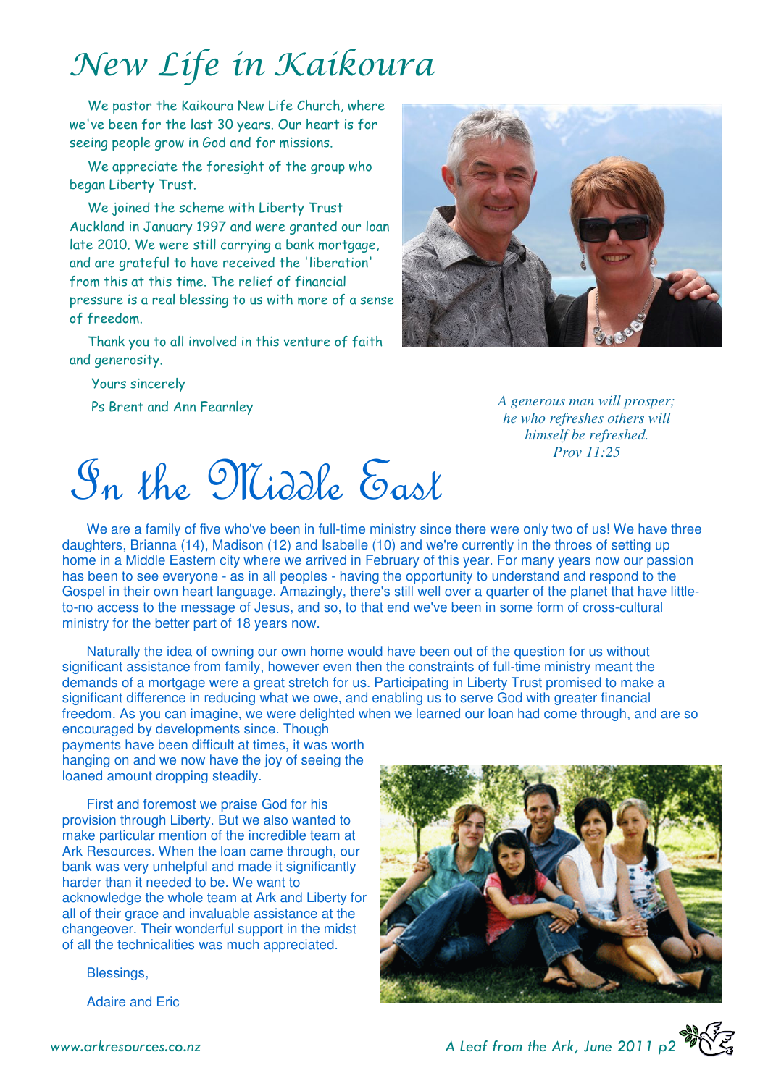## New Life in Kaikoura

We pastor the Kaikoura New Life Church, where we've been for the last 30 years. Our heart is for seeing people grow in God and for missions.

We appreciate the foresight of the group who began Liberty Trust.

We joined the scheme with Liberty Trust Auckland in January 1997 and were granted our loan late 2010. We were still carrying a bank mortgage, and are grateful to have received the 'liberation' from this at this time. The relief of financial pressure is a real blessing to us with more of a sense of freedom.

Thank you to all involved in this venture of faith and generosity.

Yours sincerely

Ps Brent and Ann Fearnley



*A generous man will prosper; he who refreshes others will himself be refreshed. Prov 11:25* 

In the Middle East

We are a family of five who've been in full-time ministry since there were only two of us! We have three daughters, Brianna (14), Madison (12) and Isabelle (10) and we're currently in the throes of setting up home in a Middle Eastern city where we arrived in February of this year. For many years now our passion has been to see everyone - as in all peoples - having the opportunity to understand and respond to the Gospel in their own heart language. Amazingly, there's still well over a quarter of the planet that have littleto-no access to the message of Jesus, and so, to that end we've been in some form of cross-cultural ministry for the better part of 18 years now.

Naturally the idea of owning our own home would have been out of the question for us without significant assistance from family, however even then the constraints of full-time ministry meant the demands of a mortgage were a great stretch for us. Participating in Liberty Trust promised to make a significant difference in reducing what we owe, and enabling us to serve God with greater financial freedom. As you can imagine, we were delighted when we learned our loan had come through, and are so

encouraged by developments since. Though payments have been difficult at times, it was worth hanging on and we now have the joy of seeing the loaned amount dropping steadily.

First and foremost we praise God for his provision through Liberty. But we also wanted to make particular mention of the incredible team at Ark Resources. When the loan came through, our bank was very unhelpful and made it significantly harder than it needed to be. We want to acknowledge the whole team at Ark and Liberty for all of their grace and invaluable assistance at the changeover. Their wonderful support in the midst of all the technicalities was much appreciated.

Blessings,

Adaire and Eric





www.arkresources.co.nz 2011 and A Leaf from the Ark, June 2011 p2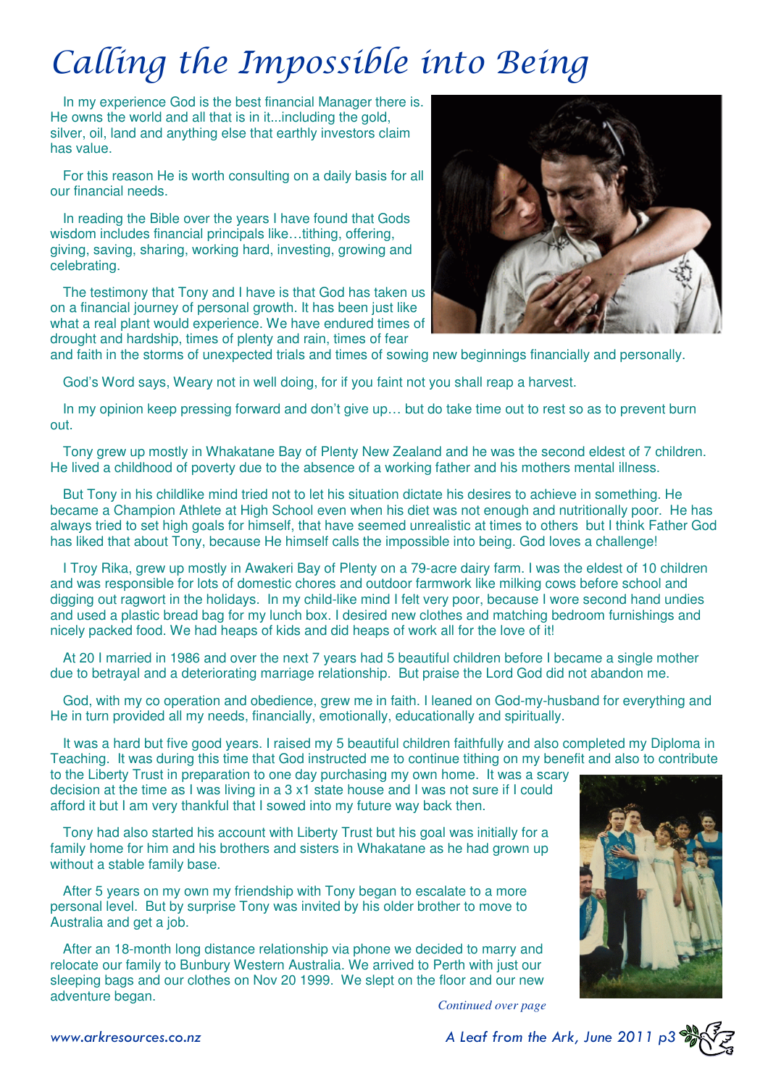# Calling the Impossible into Being

In my experience God is the best financial Manager there is. He owns the world and all that is in it...including the gold, silver, oil, land and anything else that earthly investors claim has value.

For this reason He is worth consulting on a daily basis for all our financial needs.

In reading the Bible over the years I have found that Gods wisdom includes financial principals like...tithing, offering, giving, saving, sharing, working hard, investing, growing and celebrating.

The testimony that Tony and I have is that God has taken us on a financial journey of personal growth. It has been just like what a real plant would experience. We have endured times of drought and hardship, times of plenty and rain, times of fear



and faith in the storms of unexpected trials and times of sowing new beginnings financially and personally.

God's Word says, Weary not in well doing, for if you faint not you shall reap a harvest.

In my opinion keep pressing forward and don't give up… but do take time out to rest so as to prevent burn out.

Tony grew up mostly in Whakatane Bay of Plenty New Zealand and he was the second eldest of 7 children. He lived a childhood of poverty due to the absence of a working father and his mothers mental illness.

But Tony in his childlike mind tried not to let his situation dictate his desires to achieve in something. He became a Champion Athlete at High School even when his diet was not enough and nutritionally poor. He has always tried to set high goals for himself, that have seemed unrealistic at times to others but I think Father God has liked that about Tony, because He himself calls the impossible into being. God loves a challenge!

I Troy Rika, grew up mostly in Awakeri Bay of Plenty on a 79-acre dairy farm. I was the eldest of 10 children and was responsible for lots of domestic chores and outdoor farmwork like milking cows before school and digging out ragwort in the holidays. In my child-like mind I felt very poor, because I wore second hand undies and used a plastic bread bag for my lunch box. I desired new clothes and matching bedroom furnishings and nicely packed food. We had heaps of kids and did heaps of work all for the love of it!

At 20 I married in 1986 and over the next 7 years had 5 beautiful children before I became a single mother due to betrayal and a deteriorating marriage relationship. But praise the Lord God did not abandon me.

God, with my co operation and obedience, grew me in faith. I leaned on God-my-husband for everything and He in turn provided all my needs, financially, emotionally, educationally and spiritually.

It was a hard but five good years. I raised my 5 beautiful children faithfully and also completed my Diploma in Teaching. It was during this time that God instructed me to continue tithing on my benefit and also to contribute

to the Liberty Trust in preparation to one day purchasing my own home. It was a scary decision at the time as I was living in a 3 x1 state house and I was not sure if I could afford it but I am very thankful that I sowed into my future way back then.

Tony had also started his account with Liberty Trust but his goal was initially for a family home for him and his brothers and sisters in Whakatane as he had grown up without a stable family base.

After 5 years on my own my friendship with Tony began to escalate to a more personal level. But by surprise Tony was invited by his older brother to move to Australia and get a job.

After an 18-month long distance relationship via phone we decided to marry and relocate our family to Bunbury Western Australia. We arrived to Perth with just our sleeping bags and our clothes on Nov 20 1999. We slept on the floor and our new adventure began. *Continued over page* 



www.arkresources.co.nz 6. A Leaf from the Ark, June 2011 p3